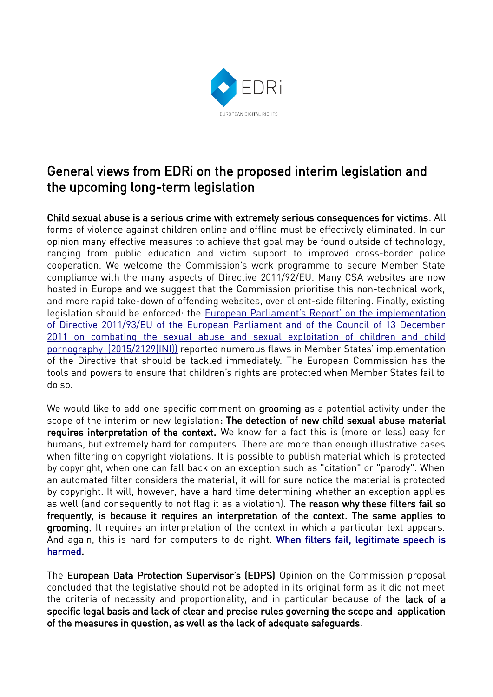

# General views from EDRi on the proposed interim legislation and the upcoming long-term legislation

Child sexual abuse is a serious crime with extremely serious consequences for victims. All forms of violence against children online and offline must be effectively eliminated. In our opinion many effective measures to achieve that goal may be found outside of technology, ranging from public education and victim support to improved cross-border police cooperation. We welcome the Commission's work programme to secure Member State compliance with the many aspects of Directive 2011/92/EU. Many CSA websites are now hosted in Europe and we suggest that the Commission prioritise this non-technical work, and more rapid take-down of offending websites, over client-side filtering. Finally, existing legislation should be enforced: the [European Parliament's Report' on the implementation](https://www.europarl.europa.eu/doceo/document/A-8-2017-0368_EN.html) of Directive 2011/93/EU of the European Parliament and of the Council of 13 December [2011 on combating the sexual abuse and sexual exploitation of children and child](https://www.europarl.europa.eu/doceo/document/A-8-2017-0368_EN.html) [pornography \(2015/2129\(INI\)\)](https://www.europarl.europa.eu/doceo/document/A-8-2017-0368_EN.html) reported numerous flaws in Member States' implementation of the Directive that should be tackled immediately. The European Commission has the tools and powers to ensure that children's rights are protected when Member States fail to do so.

We would like to add one specific comment on grooming as a potential activity under the scope of the interim or new legislation: The detection of new child sexual abuse material requires interpretation of the context. We know for a fact this is (more or less) easy for humans, but extremely hard for computers. There are more than enough illustrative cases when filtering on copyright violations. It is possible to publish material which is protected by copyright, when one can fall back on an exception such as "citation" or "parody". When an automated filter considers the material, it will for sure notice the material is protected by copyright. It will, however, have a hard time determining whether an exception applies as well (and consequently to not flag it as a violation). The reason why these filters fail so frequently, is because it requires an interpretation of the context. The same applies to grooming. It requires an interpretation of the context in which a particular text appears. And again, this is hard for computers to do right. [When filters fail, legitimate speech is](https://juliareda.eu/2017/09/when-filters-fail/) [harmed](https://juliareda.eu/2017/09/when-filters-fail/).

The European Data Protection Supervisor's (EDPS) Opinion on the Commission proposal concluded that the legislative should not be adopted in its original form as it did not meet the criteria of necessity and proportionality, and in particular because of the lack of a specific legal basis and lack of clear and precise rules governing the scope and application of the measures in question, as well as the lack of adequate safeguards.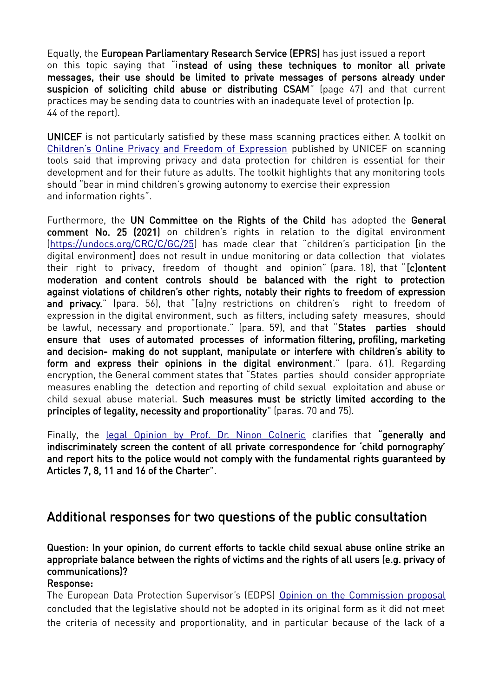Equally, the European Parliamentary Research Service (EPRS) has just issued a report on this topic saying that "instead of using these techniques to monitor all private messages, their use should be limited to private messages of persons already under suspicion of soliciting child abuse or distributing CSAM" (page 47) and that current practices may be sending data to countries with an inadequate level of protection (p. 44 of the report).

UNICEF is not particularly satisfied by these mass scanning practices either. A toolkit on [Children's Online Privacy and Freedom of Expression](https://sites.unicef.org/csr/files/UNICEF_Childrens_Online_Privacy_and_Freedom_of_Expression(1).pdf) published by UNICEF on scanning tools said that improving privacy and data protection for children is essential for their development and for their future as adults. The toolkit highlights that any monitoring tools should "bear in mind children's growing autonomy to exercise their expression and information rights".

Furthermore, the UN Committee on the Rights of the Child has adopted the General comment No. 25 (2021) on children's rights in relation to the digital environment [\(https://undocs.org/CRC/C/GC/25](https://undocs.org/CRC/C/GC/25)) has made clear that "children's participation [in the digital environment] does not result in undue monitoring or data collection that violates their right to privacy, freedom of thought and opinion" (para. 18), that " [c]ontent moderation and content controls should be balanced with the right to protection against violations of children's other rights, notably their rights to freedom of expression and privacy." (para. 56), that "[a]ny restrictions on children's right to freedom of expression in the digital environment, such as filters, including safety measures, should be lawful, necessary and proportionate." (para. 59), and that "States parties should ensure that uses of automated processes of information filtering, profiling, marketing and decision- making do not supplant, manipulate or interfere with children's ability to form and express their opinions in the digital environment." (para. 61). Regarding encryption, the General comment states that "States parties should consider appropriate measures enabling the detection and reporting of child sexual exploitation and abuse or child sexual abuse material. Such measures must be strictly limited according to the principles of legality, necessity and proportionality" (paras. 70 and 75).

Finally, the [legal Opinion by Prof. Dr. Ninon Colneric](https://www.patrick-breyer.de/wp-content/uploads/2021/03/Legal-Opinion-Screening-for-child-pornography-2021-03-04.pdf) clarifies that "generally and indiscriminately screen the content of all private correspondence for 'child pornography' and report hits to the police would not comply with the fundamental rights guaranteed by Articles 7, 8, 11 and 16 of the Charter".

# Additional responses for two questions of the public consultation

Question: In your opinion, do current efforts to tackle child sexual abuse online strike an appropriate balance between the rights of victims and the rights of all users (e.g. privacy of communications)?

#### Response:

The European Data Protection Supervisor's (EDPS) [Opinion on the Commission proposal](https://edps.europa.eu/sites/edp/files/publication/20-11-10_opinion_combatting_child_abuse_en.pdf) concluded that the legislative should not be adopted in its original form as it did not meet the criteria of necessity and proportionality, and in particular because of the lack of a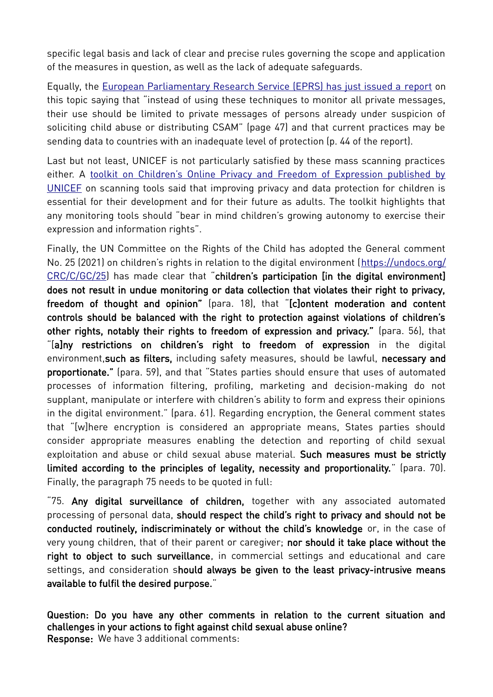specific legal basis and lack of clear and precise rules governing the scope and application of the measures in question, as well as the lack of adequate safeguards.

Equally, the [European Parliamentary Research Service \(EPRS\) has just issued a r eport](https://www.europarl.europa.eu/RegData/etudes/STUD/2021/662598/EPRS_STU(2021)662598_EN.pdf) on this topic saying that "instead of using these techniques to monitor all private messages, their use should be limited to private messages of persons already under suspicion of soliciting child abuse or distributing CSAM" (page 47) and that current practices may be sending data to countries with an inadequate level of protection (p. 44 of the report).

Last but not least, UNICEF is not particularly satisfied by these mass scanning practices either. A [toolkit on Children's Online Privacy and Freedom of Expression published by](https://sites.unicef.org/csr/files/UNICEF_Childrens_Online_Privacy_and_Freedom_of_Expression(1).pdf) [UNICEF](https://sites.unicef.org/csr/files/UNICEF_Childrens_Online_Privacy_and_Freedom_of_Expression(1).pdf) on scanning tools said that improving privacy and data protection for children is essential for their development and for their future as adults. The toolkit highlights that any monitoring tools should "bear in mind children's growing autonomy to exercise their expression and information rights".

Finally, the UN Committee on the Rights of the Child has adopted the General comment No. 25 (2021) on children's rights in relation to the digital environment ([https://undocs.org/](https://undocs.org/CRC/C/GC/25) [CRC/C/GC/25](https://undocs.org/CRC/C/GC/25)) has made clear that "children's participation [in the digital environment] does not result in undue monitoring or data collection that violates their right to privacy, freedom of thought and opinion" (para. 18), that "[c]ontent moderation and content controls should be balanced with the right to protection against violations of children's other rights, notably their rights to freedom of expression and privacy." (para. 56), that "[a]ny restrictions on children's right to freedom of expression in the digital environment, such as filters, including safety measures, should be lawful, necessary and proportionate." (para. 59), and that "States parties should ensure that uses of automated processes of information filtering, profiling, marketing and decision-making do not supplant, manipulate or interfere with children's ability to form and express their opinions in the digital environment." (para. 61). Regarding encryption, the General comment states that "[w]here encryption is considered an appropriate means, States parties should consider appropriate measures enabling the detection and reporting of child sexual exploitation and abuse or child sexual abuse material. Such measures must be strictly limited according to the principles of legality, necessity and proportionality." (para. 70). Finally, the paragraph 75 needs to be quoted in full:

"75. Any digital surveillance of children, together with any associated automated processing of personal data, should respect the child's right to privacy and should not be conducted routinely, indiscriminately or without the child's knowledge or, in the case of very young children, that of their parent or caregiver; nor should it take place without the right to object to such surveillance, in commercial settings and educational and care settings, and consideration should always be given to the least privacy-intrusive means available to fulfil the desired purpose."

Question: Do you have any other comments in relation to the current situation and challenges in your actions to fight against child sexual abuse online? Response: We have 3 additional comments: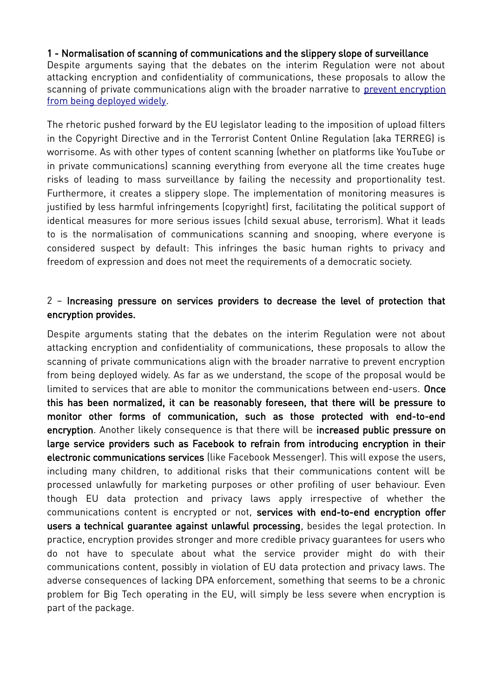### 1 - Normalisation of scanning of communications and the slippery slope of surveillance

Despite arguments saying that the debates on the interim Regulation were not about attacking encryption and confidentiality of communications, these proposals to allow the scanning of private communications align with the broader narrative to [prevent encryption](https://www.theguardian.com/uk-news/2020/nov/23/facebooks-encryption-plans-could-help-child-abusers-escape-justice-nca-warns) [from being deployed widely.](https://www.theguardian.com/uk-news/2020/nov/23/facebooks-encryption-plans-could-help-child-abusers-escape-justice-nca-warns)

The rhetoric pushed forward by the EU legislator leading to the imposition of upload filters in the Copyright Directive and in the Terrorist Content Online Regulation (aka TERREG) is worrisome. As with other types of content scanning (whether on platforms like YouTube or in private communications) scanning everything from everyone all the time creates huge risks of leading to mass surveillance by failing the necessity and proportionality test. Furthermore, it creates a slippery slope. The implementation of monitoring measures is justified by less harmful infringements (copyright) first, facilitating the political support of identical measures for more serious issues (child sexual abuse, terrorism). What it leads to is the normalisation of communications scanning and snooping, where everyone is considered suspect by default: This infringes the basic human rights to privacy and freedom of expression and does not meet the requirements of a democratic society.

## 2 – Increasing pressure on services providers to decrease the level of protection that encryption provides.

Despite arguments stating that the debates on the interim Regulation were not about attacking encryption and confidentiality of communications, these proposals to allow the scanning of private communications align with the broader narrative to prevent encryption from being deployed widely. As far as we understand, the scope of the proposal would be limited to services that are able to monitor the communications between end-users. Once this has been normalized, it can be reasonably foreseen, that there will be pressure to monitor other forms of communication, such as those protected with end-to-end encryption. Another likely consequence is that there will be increased public pressure on large service providers such as Facebook to refrain from introducing encryption in their electronic communications services (like Facebook Messenger). This will expose the users, including many children, to additional risks that their communications content will be processed unlawfully for marketing purposes or other profiling of user behaviour. Even though EU data protection and privacy laws apply irrespective of whether the communications content is encrypted or not, services with end-to-end encryption offer users a technical guarantee against unlawful processing, besides the legal protection. In practice, encryption provides stronger and more credible privacy guarantees for users who do not have to speculate about what the service provider might do with their communications content, possibly in violation of EU data protection and privacy laws. The adverse consequences of lacking DPA enforcement, something that seems to be a chronic problem for Big Tech operating in the EU, will simply be less severe when encryption is part of the package.